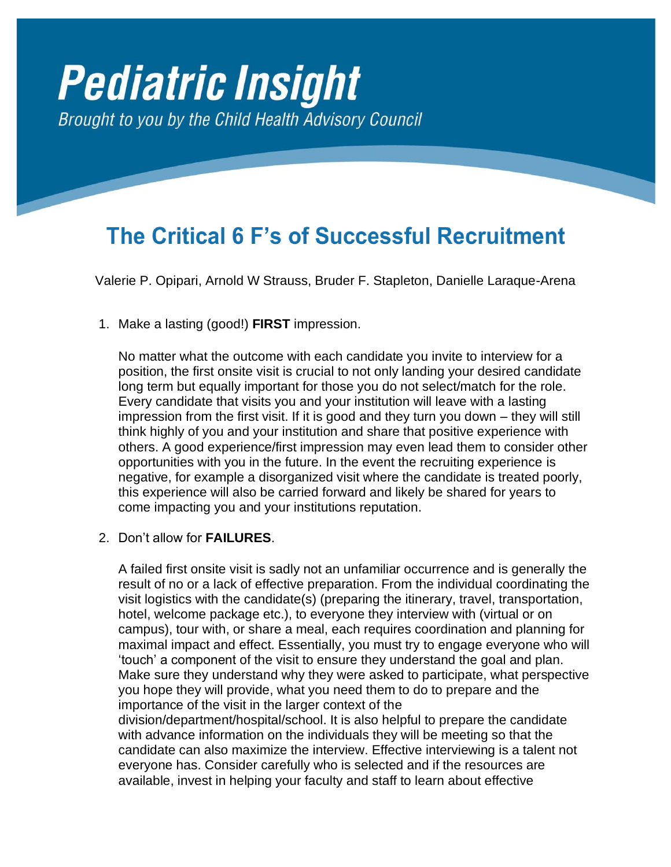# **Pediatric Insight** Brought to you by the Child Health Advisory Council

# The Critical 6 F's of Successful Recruitment

Valerie P. Opipari, Arnold W Strauss, Bruder F. Stapleton, Danielle Laraque-Arena

1. Make a lasting (good!) **FIRST** impression.

No matter what the outcome with each candidate you invite to interview for a position, the first onsite visit is crucial to not only landing your desired candidate long term but equally important for those you do not select/match for the role. Every candidate that visits you and your institution will leave with a lasting impression from the first visit. If it is good and they turn you down – they will still think highly of you and your institution and share that positive experience with others. A good experience/first impression may even lead them to consider other opportunities with you in the future. In the event the recruiting experience is negative, for example a disorganized visit where the candidate is treated poorly, this experience will also be carried forward and likely be shared for years to come impacting you and your institutions reputation.

2. Don't allow for **FAILURES**.

A failed first onsite visit is sadly not an unfamiliar occurrence and is generally the result of no or a lack of effective preparation. From the individual coordinating the visit logistics with the candidate(s) (preparing the itinerary, travel, transportation, hotel, welcome package etc.), to everyone they interview with (virtual or on campus), tour with, or share a meal, each requires coordination and planning for maximal impact and effect. Essentially, you must try to engage everyone who will 'touch' a component of the visit to ensure they understand the goal and plan. Make sure they understand why they were asked to participate, what perspective you hope they will provide, what you need them to do to prepare and the importance of the visit in the larger context of the division/department/hospital/school. It is also helpful to prepare the candidate with advance information on the individuals they will be meeting so that the candidate can also maximize the interview. Effective interviewing is a talent not everyone has. Consider carefully who is selected and if the resources are available, invest in helping your faculty and staff to learn about effective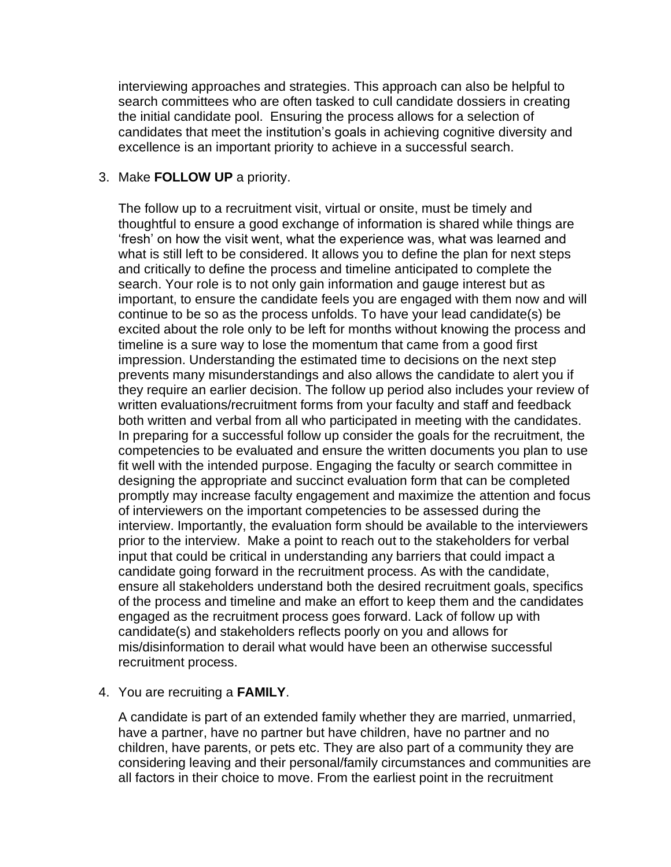interviewing approaches and strategies. This approach can also be helpful to search committees who are often tasked to cull candidate dossiers in creating the initial candidate pool. Ensuring the process allows for a selection of candidates that meet the institution's goals in achieving cognitive diversity and excellence is an important priority to achieve in a successful search.

## 3. Make **FOLLOW UP** a priority.

The follow up to a recruitment visit, virtual or onsite, must be timely and thoughtful to ensure a good exchange of information is shared while things are 'fresh' on how the visit went, what the experience was, what was learned and what is still left to be considered. It allows you to define the plan for next steps and critically to define the process and timeline anticipated to complete the search. Your role is to not only gain information and gauge interest but as important, to ensure the candidate feels you are engaged with them now and will continue to be so as the process unfolds. To have your lead candidate(s) be excited about the role only to be left for months without knowing the process and timeline is a sure way to lose the momentum that came from a good first impression. Understanding the estimated time to decisions on the next step prevents many misunderstandings and also allows the candidate to alert you if they require an earlier decision. The follow up period also includes your review of written evaluations/recruitment forms from your faculty and staff and feedback both written and verbal from all who participated in meeting with the candidates. In preparing for a successful follow up consider the goals for the recruitment, the competencies to be evaluated and ensure the written documents you plan to use fit well with the intended purpose. Engaging the faculty or search committee in designing the appropriate and succinct evaluation form that can be completed promptly may increase faculty engagement and maximize the attention and focus of interviewers on the important competencies to be assessed during the interview. Importantly, the evaluation form should be available to the interviewers prior to the interview. Make a point to reach out to the stakeholders for verbal input that could be critical in understanding any barriers that could impact a candidate going forward in the recruitment process. As with the candidate, ensure all stakeholders understand both the desired recruitment goals, specifics of the process and timeline and make an effort to keep them and the candidates engaged as the recruitment process goes forward. Lack of follow up with candidate(s) and stakeholders reflects poorly on you and allows for mis/disinformation to derail what would have been an otherwise successful recruitment process.

### 4. You are recruiting a **FAMILY**.

A candidate is part of an extended family whether they are married, unmarried, have a partner, have no partner but have children, have no partner and no children, have parents, or pets etc. They are also part of a community they are considering leaving and their personal/family circumstances and communities are all factors in their choice to move. From the earliest point in the recruitment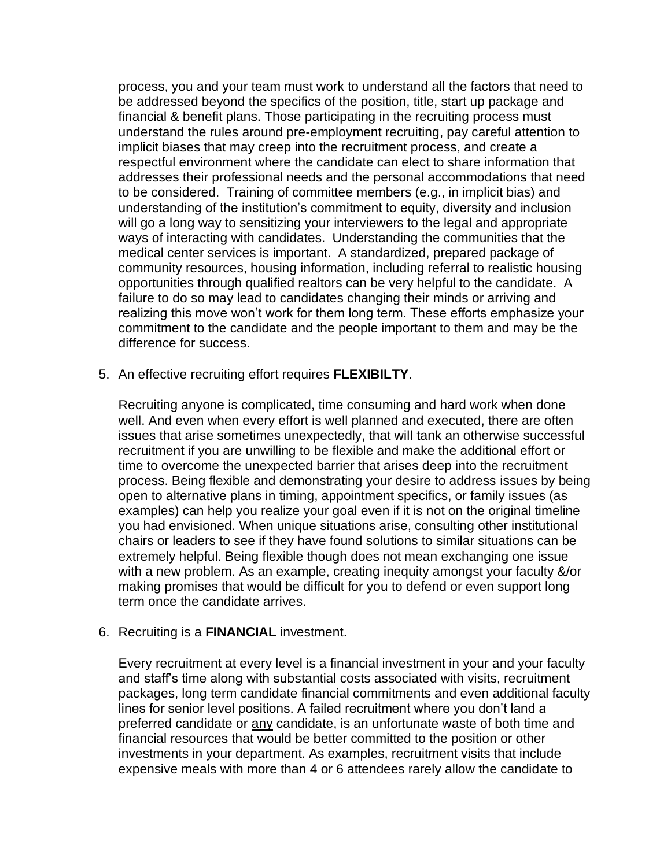process, you and your team must work to understand all the factors that need to be addressed beyond the specifics of the position, title, start up package and financial & benefit plans. Those participating in the recruiting process must understand the rules around pre-employment recruiting, pay careful attention to implicit biases that may creep into the recruitment process, and create a respectful environment where the candidate can elect to share information that addresses their professional needs and the personal accommodations that need to be considered. Training of committee members (e.g., in implicit bias) and understanding of the institution's commitment to equity, diversity and inclusion will go a long way to sensitizing your interviewers to the legal and appropriate ways of interacting with candidates. Understanding the communities that the medical center services is important. A standardized, prepared package of community resources, housing information, including referral to realistic housing opportunities through qualified realtors can be very helpful to the candidate. A failure to do so may lead to candidates changing their minds or arriving and realizing this move won't work for them long term. These efforts emphasize your commitment to the candidate and the people important to them and may be the difference for success.

5. An effective recruiting effort requires **FLEXIBILTY**.

Recruiting anyone is complicated, time consuming and hard work when done well. And even when every effort is well planned and executed, there are often issues that arise sometimes unexpectedly, that will tank an otherwise successful recruitment if you are unwilling to be flexible and make the additional effort or time to overcome the unexpected barrier that arises deep into the recruitment process. Being flexible and demonstrating your desire to address issues by being open to alternative plans in timing, appointment specifics, or family issues (as examples) can help you realize your goal even if it is not on the original timeline you had envisioned. When unique situations arise, consulting other institutional chairs or leaders to see if they have found solutions to similar situations can be extremely helpful. Being flexible though does not mean exchanging one issue with a new problem. As an example, creating inequity amongst your faculty &/or making promises that would be difficult for you to defend or even support long term once the candidate arrives.

## 6. Recruiting is a **FINANCIAL** investment.

Every recruitment at every level is a financial investment in your and your faculty and staff's time along with substantial costs associated with visits, recruitment packages, long term candidate financial commitments and even additional faculty lines for senior level positions. A failed recruitment where you don't land a preferred candidate or any candidate, is an unfortunate waste of both time and financial resources that would be better committed to the position or other investments in your department. As examples, recruitment visits that include expensive meals with more than 4 or 6 attendees rarely allow the candidate to